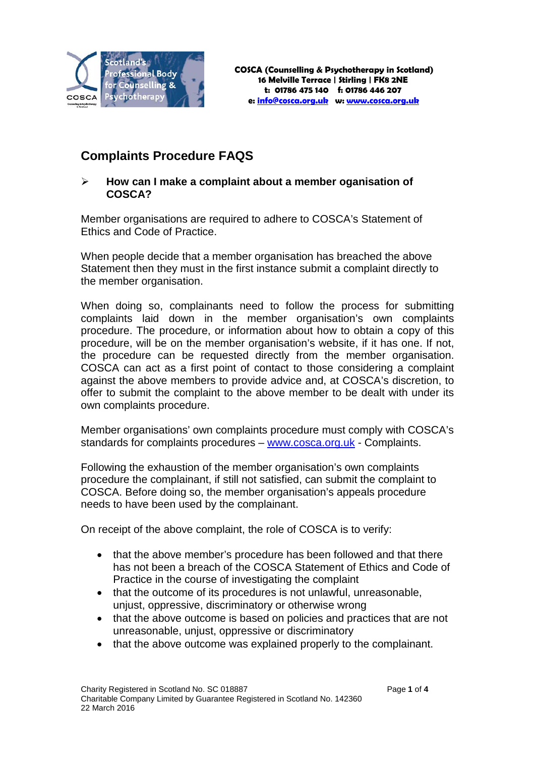

# **Complaints Procedure FAQS**

## **How can I make a complaint about a member oganisation of COSCA?**

Member organisations are required to adhere to COSCA's Statement of Ethics and Code of Practice.

When people decide that a member organisation has breached the above Statement then they must in the first instance submit a complaint directly to the member organisation.

When doing so, complainants need to follow the process for submitting complaints laid down in the member organisation's own complaints procedure. The procedure, or information about how to obtain a copy of this procedure, will be on the member organisation's website, if it has one. If not, the procedure can be requested directly from the member organisation. COSCA can act as a first point of contact to those considering a complaint against the above members to provide advice and, at COSCA's discretion, to offer to submit the complaint to the above member to be dealt with under its own complaints procedure.

Member organisations' own complaints procedure must comply with COSCA's standards for complaints procedures – [www.cosca.org.uk](http://www.cosca.org.uk/) - Complaints.

Following the exhaustion of the member organisation's own complaints procedure the complainant, if still not satisfied, can submit the complaint to COSCA. Before doing so, the member organisation's appeals procedure needs to have been used by the complainant.

On receipt of the above complaint, the role of COSCA is to verify:

- that the above member's procedure has been followed and that there has not been a breach of the COSCA Statement of Ethics and Code of Practice in the course of investigating the complaint
- that the outcome of its procedures is not unlawful, unreasonable, unjust, oppressive, discriminatory or otherwise wrong
- that the above outcome is based on policies and practices that are not unreasonable, unjust, oppressive or discriminatory
- that the above outcome was explained properly to the complainant.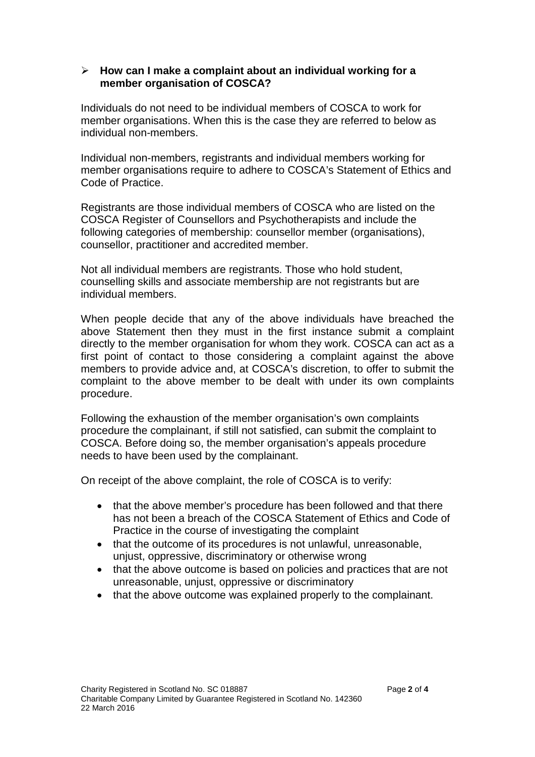#### **How can I make a complaint about an individual working for a member organisation of COSCA?**

Individuals do not need to be individual members of COSCA to work for member organisations. When this is the case they are referred to below as individual non-members.

Individual non-members, registrants and individual members working for member organisations require to adhere to COSCA's Statement of Ethics and Code of Practice.

Registrants are those individual members of COSCA who are listed on the COSCA Register of Counsellors and Psychotherapists and include the following categories of membership: counsellor member (organisations), counsellor, practitioner and accredited member.

Not all individual members are registrants. Those who hold student, counselling skills and associate membership are not registrants but are individual members.

When people decide that any of the above individuals have breached the above Statement then they must in the first instance submit a complaint directly to the member organisation for whom they work. COSCA can act as a first point of contact to those considering a complaint against the above members to provide advice and, at COSCA's discretion, to offer to submit the complaint to the above member to be dealt with under its own complaints procedure.

Following the exhaustion of the member organisation's own complaints procedure the complainant, if still not satisfied, can submit the complaint to COSCA. Before doing so, the member organisation's appeals procedure needs to have been used by the complainant.

On receipt of the above complaint, the role of COSCA is to verify:

- that the above member's procedure has been followed and that there has not been a breach of the COSCA Statement of Ethics and Code of Practice in the course of investigating the complaint
- that the outcome of its procedures is not unlawful, unreasonable, unjust, oppressive, discriminatory or otherwise wrong
- that the above outcome is based on policies and practices that are not unreasonable, unjust, oppressive or discriminatory
- that the above outcome was explained properly to the complainant.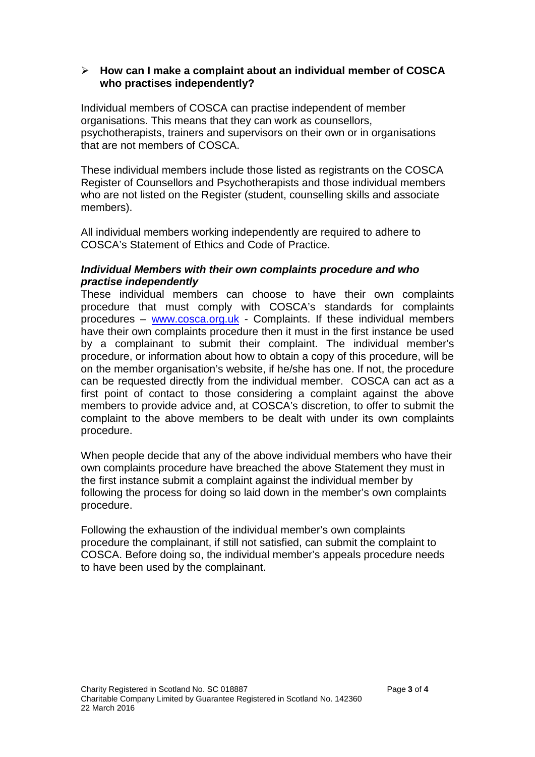### **How can I make a complaint about an individual member of COSCA who practises independently?**

Individual members of COSCA can practise independent of member organisations. This means that they can work as counsellors, psychotherapists, trainers and supervisors on their own or in organisations that are not members of COSCA.

These individual members include those listed as registrants on the COSCA Register of Counsellors and Psychotherapists and those individual members who are not listed on the Register (student, counselling skills and associate members).

All individual members working independently are required to adhere to COSCA's Statement of Ethics and Code of Practice.

## *Individual Members with their own complaints procedure and who practise independently*

These individual members can choose to have their own complaints procedure that must comply with COSCA's standards for complaints procedures – [www.cosca.org.uk](http://www.cosca.org.uk/) - Complaints. If these individual members have their own complaints procedure then it must in the first instance be used by a complainant to submit their complaint. The individual member's procedure, or information about how to obtain a copy of this procedure, will be on the member organisation's website, if he/she has one. If not, the procedure can be requested directly from the individual member. COSCA can act as a first point of contact to those considering a complaint against the above members to provide advice and, at COSCA's discretion, to offer to submit the complaint to the above members to be dealt with under its own complaints procedure.

When people decide that any of the above individual members who have their own complaints procedure have breached the above Statement they must in the first instance submit a complaint against the individual member by following the process for doing so laid down in the member's own complaints procedure.

Following the exhaustion of the individual member's own complaints procedure the complainant, if still not satisfied, can submit the complaint to COSCA. Before doing so, the individual member's appeals procedure needs to have been used by the complainant.